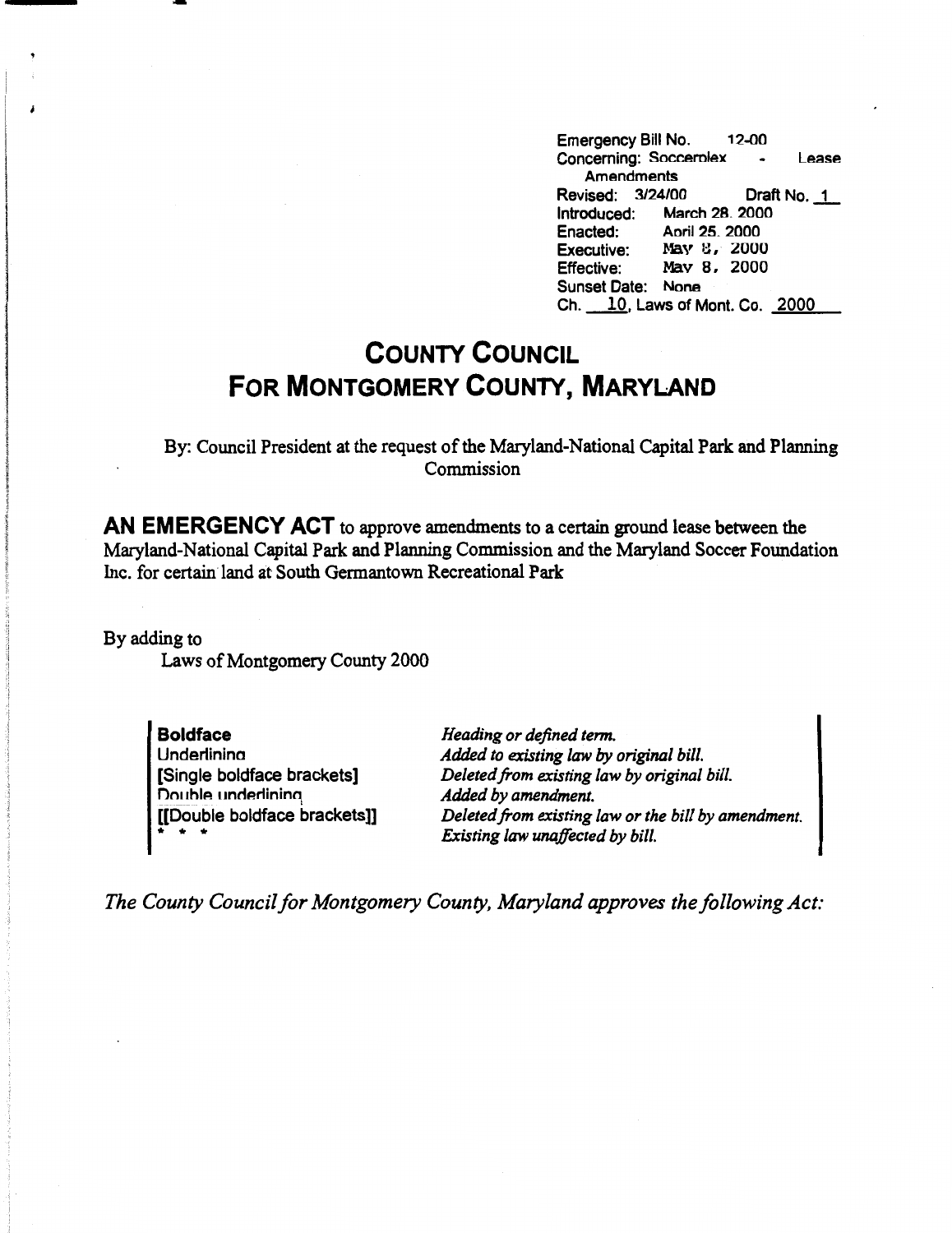Emergency Bill No. 12-00 Concerning: Soccerniex - Lease **Amendments**  Revised: 3/24/00 Draft No. 1 Introduced: March 28. 2000<br>Enacted: April 25. 2000 Aoril 25, 2000 Executive: May 8, 2000<br>Effective: May 8, 2000 May 8, 2000 Sunset Date: None Ch. *\_]&,* Laws of Mont. Co. 2000

## **COUNTY COUNCIL FOR MONTGOMERY COUNTY, MARYLAND**

By: Council President at the request of the Maryland-National Capital Park and Planning Commission

**AN EMERGENCY ACT** to approve amendments to a certain ground lease between the Maryland-National Capital Park and Planning Commission and the Maryland Soccer Foundation Inc. for certain land at South Gennantown Recreational Park

By adding to Laws of Montgomery County 2000

-

**Boldface**  Underlinina [Single boldface brackets] Double underlining [[Double boldface brackets]] • • •

*Heading or defined term. Added to existing law by original bill. Deleted from existing law by original bill. Added by amendment. Deleted from existing law or the bill by amendment. Existing law unaffected by bill.* 

*The County Council for Montgomery County, Maryland approves the following Act:*